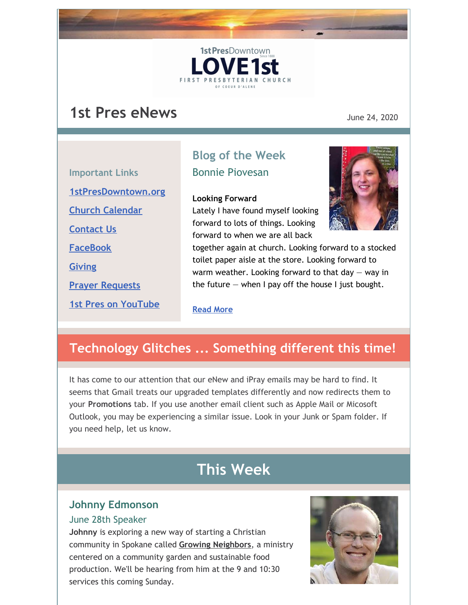## **1st Pres eNews** June 24, 2020

|                            | DIUX L               |
|----------------------------|----------------------|
| <b>Important Links</b>     | <b>Bonnie</b>        |
| 1stPresDowntown.org        | Looking              |
| <b>Church Calendar</b>     | Lately II            |
| <b>Contact Us</b>          | forward<br>forward   |
| <b>FaceBook</b>            | together             |
| <b>Giving</b>              | toilet pa<br>warm we |
| <b>Prayer Requests</b>     | the futul            |
| <b>1st Pres on YouTube</b> | Dond Mo              |

## **Blog of the Week** Piovesan

1st PresDowntown

**FIRST PRESBYTER** 

#### **Forward**

have found myself looking to lots of things. Looking to when we are all back



again at church. Looking forward to a stocked per aisle at the store. Looking forward to eather. Looking forward to that day  $-$  way in  $re -$  when I pay off the house I just bought.

#### **[Read](http://www.1stpresdowntown.org/looking-forward/) More**

## **Technology Glitches ... Something different this time!**

It has come to our attention that our eNew and iPray emails may be hard to find. It seems that Gmail treats our upgraded templates differently and now redirects them to your **Promotions** tab. If you use another email client such as Apple Mail or Micosoft Outlook, you may be experiencing a similar issue. Look in your Junk or Spam folder. If you need help, let us know.

## **This Week**

#### **Johnny Edmonson**

#### June 28th Speaker

**Johnny** is exploring a new way of starting a Christian community in Spokane called **Growing [Neighbors](https://growingneighbors.wordpress.com/)**, a ministry centered on a community garden and sustainable food production. We'll be hearing from him at the 9 and 10:30 services this coming Sunday.

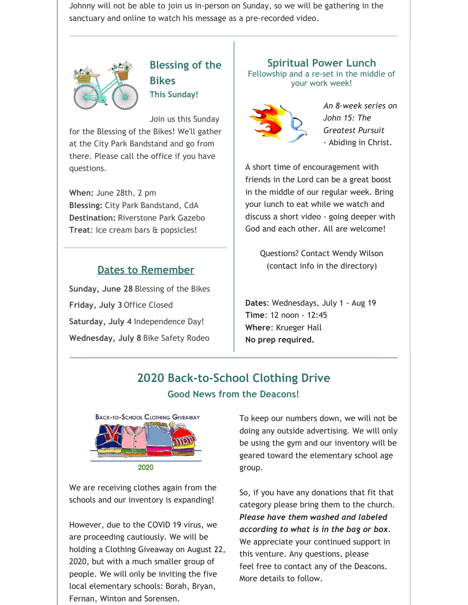Johnny will not be able to join us in-person on Sunday, so we will be gathering in the sanctuary and online to watch his message as a pre-recorded video.



**Blessing of the Bikes This Sunday!**

Join us this Sunday

for the Blessing of the Bikes! We'll gather at the City Park Bandstand and go from there. Please call the office if you have questions.

**When:** June 28th, 2 pm **Blessing:** City Park Bandstand, CdA **Destination:** Riverstone Park Gazebo **Treat**: Ice cream bars & popsicles!

### **Dates to Remember**

**Sunday, June 28** Blessing of the Bikes **Friday, July 3** Office Closed **Saturday, July 4** Independence Day! **Wednesday, July 8** Bike Safety Rodeo

**Spiritual Power Lunch** Fellowship and a re-set in the middle of your work week!



*An 8-week series on John 15: The Greatest Pursuit -* Abiding in Christ.

A short time of encouragement with friends in the Lord can be a great boost in the middle of our regular week. Bring your lunch to eat while we watch and discuss a short video - going deeper with God and each other. All are welcome!

> Questions? Contact Wendy Wilson (contact info in the directory)

**Dates**: Wednesdays, July 1 - Aug 19 **Time**: 12 noon - 12:45 **Where**: Krueger Hall **No prep required.**

### **2020 Back-to-School Clothing Drive Good News from the Deacons!**



We are receiving clothes again from the schools and our inventory is expanding!

However, due to the COVID 19 virus, we are proceeding cautiously. We will be holding a Clothing Giveaway on August 22, 2020, but with a much smaller group of people. We will only be inviting the five local elementary schools: Borah, Bryan, Fernan, Winton and Sorensen.

To keep our numbers down, we will not be doing any outside advertising. We will only be using the gym and our inventory will be geared toward the elementary school age group.

So, if you have any donations that fit that category please bring them to the church. *Please have them washed and labeled according to what is in the bag or box*. We appreciate your continued support in this venture. Any questions, please feel free to contact any of the Deacons. More details to follow.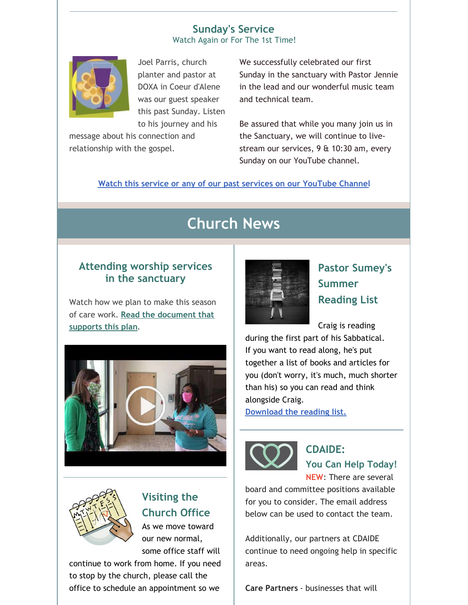#### **Sunday's Service** Watch Again or For The 1st Time!



Joel Parris, church planter and pastor at DOXA in Coeur d'Alene was our guest speaker this past Sunday. Listen to his journey and his

message about his connection and relationship with the gospel.

We successfully celebrated our first Sunday in the sanctuary with Pastor Jennie in the lead and our wonderful music team and technical team.

Be assured that while you many join us in the Sanctuary, we will continue to livestream our services, 9 & 10:30 am, every Sunday on our YouTube channel.

**Watch this service or any of our past services on our [YouTube](https://www.youtube.com/channel/UCCfruZriuZfS2hVar79nXbQ) Channel**

# **Church News**

### **Attending worship services in the sanctuary**

Watch how we plan to make this season of care work. **Read the [document](https://files.constantcontact.com/1d935adc001/16f87308-2245-4973-a3f5-d2729dff1ff3.pdf) that supports this plan**.





## **Visiting the Church Office**

As we move toward our new normal, some office staff will

continue to work from home. If you need to stop by the church, please call the office to schedule an appointment so we



**Pastor Sumey's Summer Reading List**

Craig is reading

during the first part of his Sabbatical. If you want to read along, he's put together a list of books and articles for you (don't worry, it's much, much shorter than his) so you can read and think alongside Craig.

**[Download](https://files.constantcontact.com/1d935adc001/1abf8692-150f-4ac3-9390-c817944dc3ce.pdf) the reading list.**



**CDAIDE: You Can Help Today! NEW**: There are several

board and committee positions available for you to consider. The email address below can be used to contact the team.

Additionally, our partners at CDAIDE continue to need ongoing help in specific areas.

**Care Partners** - businesses that will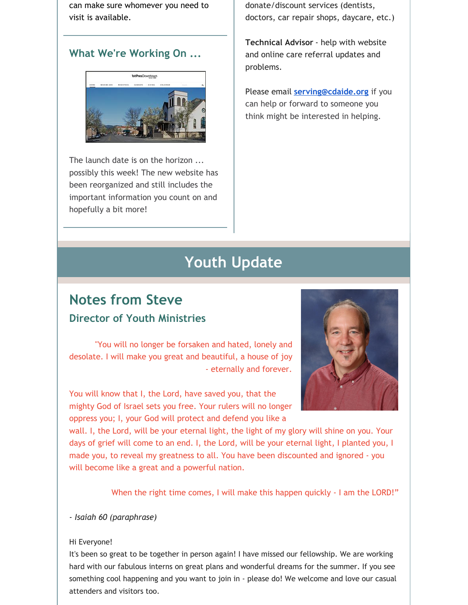can make sure whomever you need to visit is available.

### **What We're Working On ...**



The launch date is on the horizon ... possibly this week! The new website has been reorganized and still includes the important information you count on and hopefully a bit more!

donate/discount services (dentists, doctors, car repair shops, daycare, etc.)

**Technical Advisor** - help with website and online care referral updates and problems.

Please email **[serving@cdaide.org](mailto:serving@cdaide.org)** if you can help or forward to someone you think might be interested in helping.

# **Youth Update**

## **Notes from Steve Director of Youth Ministries**

"You will no longer be forsaken and hated, lonely and desolate. I will make you great and beautiful, a house of joy - eternally and forever.

You will know that I, the Lord, have saved you, that the mighty God of Israel sets you free. Your rulers will no longer oppress you; I, your God will protect and defend you like a



wall. I, the Lord, will be your eternal light, the light of my glory will shine on you. Your days of grief will come to an end. I, the Lord, will be your eternal light, I planted you, I made you, to reveal my greatness to all. You have been discounted and ignored - you will become like a great and a powerful nation.

When the right time comes, I will make this happen quickly - I am the LORD!"

#### *- Isaiah 60 (paraphrase)*

#### Hi Everyone!

It's been so great to be together in person again! I have missed our fellowship. We are working hard with our fabulous interns on great plans and wonderful dreams for the summer. If you see something cool happening and you want to join in - please do! We welcome and love our casual attenders and visitors too.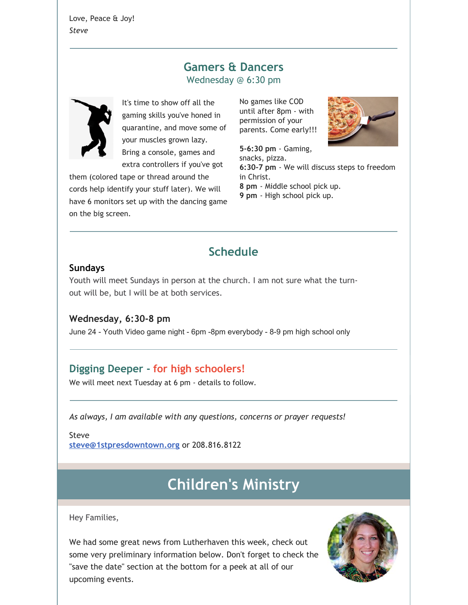Love, Peace & Joy! *Steve*

### **Gamers & Dancers** Wednesday @ 6:30 pm



It's time to show off all the gaming skills you've honed in quarantine, and move some of your muscles grown lazy. Bring a console, games and extra controllers if you've got

them (colored tape or thread around the cords help identify your stuff later). We will have 6 monitors set up with the dancing game on the big screen.

No games like COD until after 8pm - with permission of your parents. Come early!!!



**5-6:30 pm** - Gaming, snacks, pizza. **6:30-7 pm** - We will discuss steps to freedom in Christ. **8 pm** - Middle school pick up.

**9 pm** - High school pick up.

## **Schedule**

#### **Sundays**

Youth will meet Sundays in person at the church. I am not sure what the turnout will be, but I will be at both services.

### **Wednesday, 6:30-8 pm**

June 24 - Youth Video game night - 6pm -8pm everybody - 8-9 pm high school only

### **Digging Deeper - for high schoolers!**

We will meet next Tuesday at 6 pm - details to follow.

*As always, I am available with any questions, concerns or prayer requests!*

Steve **[steve@1stpresdowntown.org](mailto:steve@1stpresdowntown.org)** or 208.816.8122

# **Children's Ministry**

![](_page_4_Picture_19.jpeg)

Hey Families,

We had some great news from Lutherhaven this week, check out some very preliminary information below. Don't forget to check the "save the date" section at the bottom for a peek at all of our upcoming events.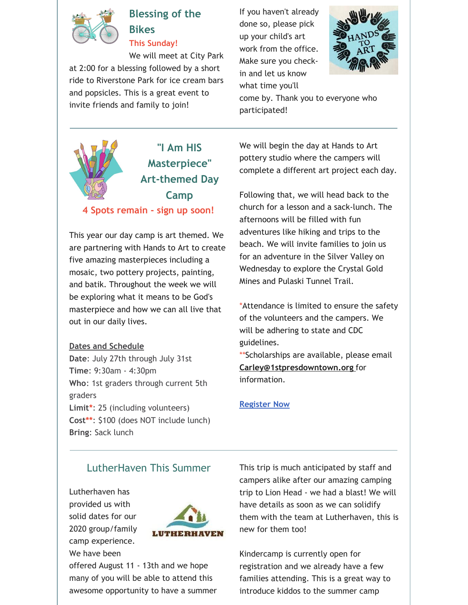![](_page_5_Picture_0.jpeg)

## **Blessing of the Bikes**

**This Sunday!**

We will meet at City Park at 2:00 for a blessing followed by a short ride to Riverstone Park for ice cream bars and popsicles. This is a great event to invite friends and family to join!

If you haven't already done so, please pick up your child's art work from the office. Make sure you checkin and let us know what time you'll

![](_page_5_Picture_5.jpeg)

come by. Thank you to everyone who participated!

![](_page_5_Picture_7.jpeg)

**4 Spots remain - sign up soon!**

This year our day camp is art themed. We are partnering with Hands to Art to create five amazing masterpieces including a mosaic, two pottery projects, painting, and batik. Throughout the week we will be exploring what it means to be God's masterpiece and how we can all live that out in our daily lives.

#### **Dates and Schedule**

**Date**: July 27th through July 31st **Time**: 9:30am - 4:30pm **Who**: 1st graders through current 5th graders **Limit\***: 25 (including volunteers) **Cost\*\***: \$100 (does NOT include lunch) **Bring**: Sack lunch

We will begin the day at Hands to Art pottery studio where the campers will complete a different art project each day.

Following that, we will head back to the church for a lesson and a sack-lunch. The afternoons will be filled with fun adventures like hiking and trips to the beach. We will invite families to join us for an adventure in the Silver Valley on Wednesday to explore the Crystal Gold Mines and Pulaski Tunnel Trail.

\*Attendance is limited to ensure the safety of the volunteers and the campers. We will be adhering to state and CDC guidelines.

\*\*Scholarships are available, please email **[Carley@1stpresdowntown.org](mailto:Carley@1stpresdowntown.org)** for information.

#### **[Register](https://1stpres.churchcenter.com/registrations/events/429465) Now**

### LutherHaven This Summer

Lutherhaven has provided us with solid dates for our 2020 group/family camp experience. We have been

![](_page_5_Picture_19.jpeg)

offered August 11 - 13th and we hope many of you will be able to attend this awesome opportunity to have a summer This trip is much anticipated by staff and campers alike after our amazing camping trip to Lion Head - we had a blast! We will have details as soon as we can solidify them with the team at Lutherhaven, this is new for them too!

Kindercamp is currently open for registration and we already have a few families attending. This is a great way to introduce kiddos to the summer camp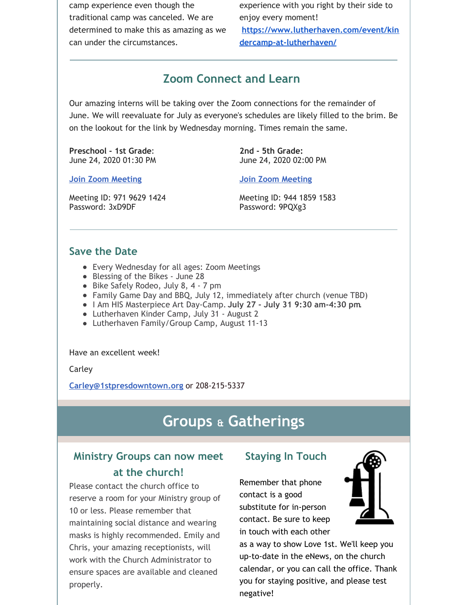camp experience even though the traditional camp was canceled. We are determined to make this as amazing as we can under the circumstances.

experience with you right by their side to enjoy every moment! **[https://www.lutherhaven.com/event/kin](https://www.lutherhaven.com/event/kindercamp-at-lutherhaven/) dercamp-at-lutherhaven/**

### **Zoom Connect and Learn**

Our amazing interns will be taking over the Zoom connections for the remainder of June. We will reevaluate for July as everyone's schedules are likely filled to the brim. Be on the lookout for the link by Wednesday morning. Times remain the same.

**Preschool - 1st Grade**: June 24, 2020 01:30 PM **2nd - 5th Grade:** June 24, 2020 02:00 PM

**Join Zoom [Meeting](https://zoom.us/j/97196291424?pwd=OGFYNzlMeUxjMUJFNXBJdGEzbkRxdz09)**

**Join Zoom [Meeting](https://zoom.us/j/94418591583?pwd=UkJvcFZ1Y2V4ZlBoRk1rK2JxbnNIdz09)**

Meeting ID: 971 9629 1424 Password: 3xD9DF

Meeting ID: 944 1859 1583 Password: 9PQXg3

#### **Save the Date**

- Every Wednesday for all ages: Zoom Meetings
- Blessing of the Bikes June 28
- Bike Safely Rodeo, July 8, 4 7 pm
- Family Game Day and BBQ, July 12, immediately after church (venue TBD)
- I Am HIS Masterpiece Art Day-Camp. **July 27 - July 31 9:30 am-4:30 pm**.
- Lutherhaven Kinder Camp, July 31 August 2
- Lutherhaven Family/Group Camp, August 11-13

Have an excellent week!

Carley

**[Carley@1stpresdowntown.org](mailto:Carley@1stpresdowntown.org)** or 208-215-5337

## **Groups & Gatherings**

### **Ministry Groups can now meet at the church!**

Please contact the church office to reserve a room for your Ministry group of 10 or less. Please remember that maintaining social distance and wearing masks is highly recommended. Emily and Chris, your amazing receptionists, will work with the Church Administrator to ensure spaces are available and cleaned properly.

### **Staying In Touch**

Remember that phone contact is a good substitute for in-person contact. Be sure to keep in touch with each other

![](_page_6_Picture_26.jpeg)

as a way to show Love 1st. We'll keep you up-to-date in the eNews, on the church calendar, or you can call the office. Thank you for staying positive, and please test negative!